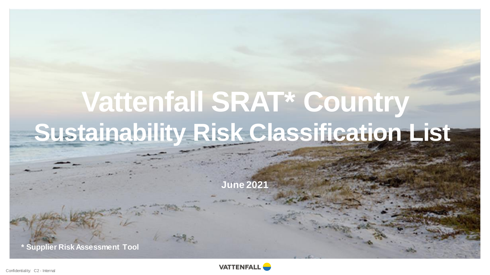# **Vattenfall SRAT\* Country Sustainability Risk Classification List**

**June 2021**

**\* Supplier Risk Assessment Tool** 

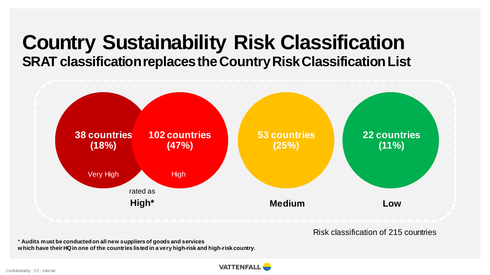# **Country Sustainability Risk Classification SRAT classification replaces the Country Risk Classification List**



Risk classification of 215 countries

\* **Audits must be conducted on all new suppliers of goods and services**

**which have their HQ in one of the countries listed in a very high-risk and high-risk country**.

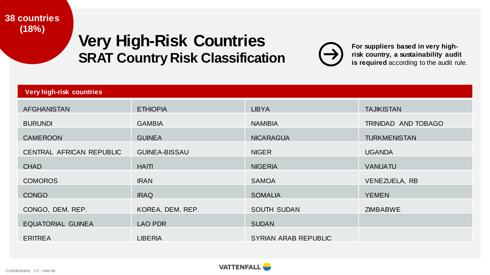#### **38 countries (18%)**

# **Very High-Risk Countries SRAT Country Risk Classification**



**For suppliers based in very highrisk country, a sustainability audit is required** according to the audit rule.

| <b>Very high-risk countries</b> |                      |                             |                     |  |
|---------------------------------|----------------------|-----------------------------|---------------------|--|
| AFGHANISTAN                     | <b>ETHIOPIA</b>      | <b>LIBYA</b>                | <b>TAJIKISTAN</b>   |  |
| <b>BURUNDI</b>                  | <b>GAMBIA</b>        | <b>NAMIBIA</b>              | TRINIDAD AND TOBAGO |  |
| <b>CAMEROON</b>                 | <b>GUINEA</b>        | <b>NICARAGUA</b>            | <b>TURKMENISTAN</b> |  |
| CENTRAL AFRICAN REPUBLIC        | <b>GUINEA-BISSAU</b> | <b>NIGER</b>                | <b>UGANDA</b>       |  |
| <b>CHAD</b>                     | <b>HAITI</b>         | <b>NIGERIA</b>              | <b>VANUATU</b>      |  |
| <b>COMOROS</b>                  | <b>IRAN</b>          | <b>SAMOA</b>                | VENEZUELA, RB       |  |
| <b>CONGO</b>                    | <b>IRAQ</b>          | <b>SOMALIA</b>              | <b>YEMEN</b>        |  |
| CONGO, DEM. REP.                | KOREA, DEM. REP.     | <b>SOUTH SUDAN</b>          | <b>ZIMBABWE</b>     |  |
| <b>EQUATORIAL GUINEA</b>        | LAO PDR              | <b>SUDAN</b>                |                     |  |
| <b>ERITREA</b>                  | <b>LIBERIA</b>       | <b>SYRIAN ARAB REPUBLIC</b> |                     |  |

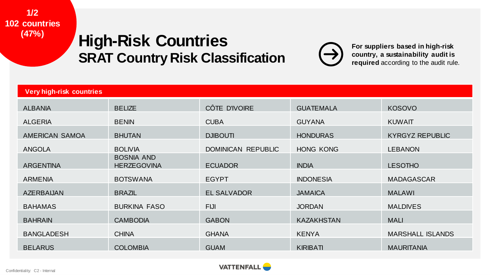#### **1/2 102 countries (47%)**

# **High-Risk Countries SRAT Country Risk Classification**



**For suppliers based in high-risk country, a sustainability audit is required** according to the audit rule.

| <b>Very high-risk countries</b> |                                         |                    |                   |                         |
|---------------------------------|-----------------------------------------|--------------------|-------------------|-------------------------|
| <b>ALBANIA</b>                  | <b>BELIZE</b>                           | CÔTE D'IVOIRE      | <b>GUATEMALA</b>  | <b>KOSOVO</b>           |
| <b>ALGERIA</b>                  | <b>BENIN</b>                            | <b>CUBA</b>        | <b>GUYANA</b>     | <b>KUWAIT</b>           |
| <b>AMERICAN SAMOA</b>           | <b>BHUTAN</b>                           | <b>DJIBOUTI</b>    | <b>HONDURAS</b>   | <b>KYRGYZ REPUBLIC</b>  |
| <b>ANGOLA</b>                   | <b>BOLIVIA</b>                          | DOMINICAN REPUBLIC | <b>HONG KONG</b>  | <b>LEBANON</b>          |
| <b>ARGENTINA</b>                | <b>BOSNIA AND</b><br><b>HERZEGOVINA</b> | <b>ECUADOR</b>     | <b>INDIA</b>      | <b>LESOTHO</b>          |
| <b>ARMENIA</b>                  | <b>BOTSWANA</b>                         | <b>EGYPT</b>       | <b>INDONESIA</b>  | <b>MADAGASCAR</b>       |
| AZERBAIJAN                      | <b>BRAZIL</b>                           | <b>EL SALVADOR</b> | <b>JAMAICA</b>    | <b>MALAWI</b>           |
| <b>BAHAMAS</b>                  | <b>BURKINA FASO</b>                     | <b>FIJI</b>        | <b>JORDAN</b>     | <b>MALDIVES</b>         |
| <b>BAHRAIN</b>                  | <b>CAMBODIA</b>                         | <b>GABON</b>       | <b>KAZAKHSTAN</b> | <b>MALI</b>             |
| <b>BANGLADESH</b>               | <b>CHINA</b>                            | <b>GHANA</b>       | <b>KENYA</b>      | <b>MARSHALL ISLANDS</b> |
| <b>BELARUS</b>                  | <b>COLOMBIA</b>                         | <b>GUAM</b>        | <b>KIRIBATI</b>   | <b>MAURITANIA</b>       |

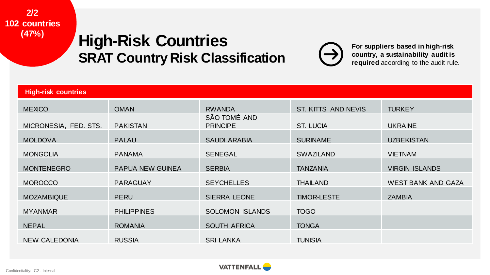#### **2/2 102 countries (47%)**

# **High-Risk Countries SRAT Country Risk Classification**



**For suppliers based in high-risk country, a sustainability audit is required** according to the audit rule.

| <b>High-risk countries</b> |                         |                                 |                     |                           |
|----------------------------|-------------------------|---------------------------------|---------------------|---------------------------|
| <b>MEXICO</b>              | <b>OMAN</b>             | <b>RWANDA</b>                   | ST. KITTS AND NEVIS | <b>TURKEY</b>             |
| MICRONESIA, FED. STS.      | <b>PAKISTAN</b>         | SÃO TOMÉ AND<br><b>PRINCIPE</b> | <b>ST. LUCIA</b>    | <b>UKRAINE</b>            |
| <b>MOLDOVA</b>             | <b>PALAU</b>            | <b>SAUDI ARABIA</b>             | <b>SURINAME</b>     | <b>UZBEKISTAN</b>         |
| <b>MONGOLIA</b>            | <b>PANAMA</b>           | <b>SENEGAL</b>                  | <b>SWAZILAND</b>    | <b>VIETNAM</b>            |
| <b>MONTENEGRO</b>          | <b>PAPUA NEW GUINEA</b> | <b>SERBIA</b>                   | <b>TANZANIA</b>     | <b>VIRGIN ISLANDS</b>     |
| <b>MOROCCO</b>             | <b>PARAGUAY</b>         | <b>SEYCHELLES</b>               | <b>THAILAND</b>     | <b>WEST BANK AND GAZA</b> |
| <b>MOZAMBIQUE</b>          | <b>PERU</b>             | <b>SIERRA LEONE</b>             | <b>TIMOR-LESTE</b>  | <b>ZAMBIA</b>             |
| <b>MYANMAR</b>             | <b>PHILIPPINES</b>      | <b>SOLOMON ISLANDS</b>          | <b>TOGO</b>         |                           |
| <b>NEPAL</b>               | <b>ROMANIA</b>          | <b>SOUTH AFRICA</b>             | <b>TONGA</b>        |                           |
| NEW CALEDONIA              | <b>RUSSIA</b>           | <b>SRI LANKA</b>                | <b>TUNISIA</b>      |                           |

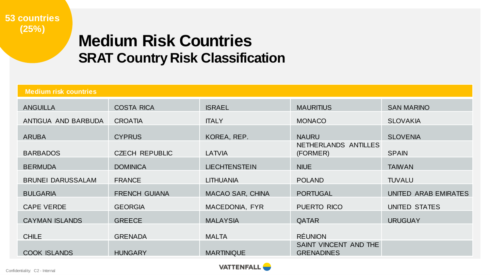

# **Medium Risk Countries SRAT Country Risk Classification**

| <b>Medium risk countries</b> |                       |                         |                                            |                      |
|------------------------------|-----------------------|-------------------------|--------------------------------------------|----------------------|
| <b>ANGUILLA</b>              | <b>COSTA RICA</b>     | <b>ISRAEL</b>           | <b>MAURITIUS</b>                           | <b>SAN MARINO</b>    |
| ANTIGUA AND BARBUDA          | <b>CROATIA</b>        | <b>ITALY</b>            | <b>MONACO</b>                              | <b>SLOVAKIA</b>      |
| <b>ARUBA</b>                 | <b>CYPRUS</b>         | KOREA, REP.             | <b>NAURU</b>                               | <b>SLOVENIA</b>      |
| <b>BARBADOS</b>              | <b>CZECH REPUBLIC</b> | LATVIA                  | NETHERLANDS ANTILLES<br>(FORMER)           | <b>SPAIN</b>         |
| <b>BERMUDA</b>               | <b>DOMINICA</b>       | <b>LIECHTENSTEIN</b>    | <b>NIUE</b>                                | <b>TAIWAN</b>        |
| <b>BRUNEI DARUSSALAM</b>     | <b>FRANCE</b>         | <b>LITHUANIA</b>        | <b>POLAND</b>                              | <b>TUVALU</b>        |
| <b>BULGARIA</b>              | <b>FRENCH GUIANA</b>  | <b>MACAO SAR, CHINA</b> | <b>PORTUGAL</b>                            | UNITED ARAB EMIRATES |
| <b>CAPE VERDE</b>            | <b>GEORGIA</b>        | MACEDONIA, FYR          | PUERTO RICO                                | UNITED STATES        |
| <b>CAYMAN ISLANDS</b>        | <b>GREECE</b>         | <b>MALAYSIA</b>         | <b>QATAR</b>                               | <b>URUGUAY</b>       |
| <b>CHILE</b>                 | <b>GRENADA</b>        | <b>MALTA</b>            | <b>RÉUNION</b>                             |                      |
| <b>COOK ISLANDS</b>          | <b>HUNGARY</b>        | <b>MARTINIQUE</b>       | SAINT VINCENT AND THE<br><b>GRENADINES</b> |                      |

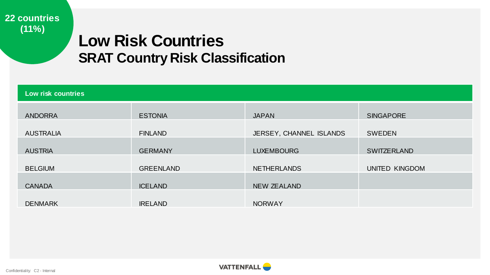**22 countries (11%)**

# **Low Risk Countries SRAT Country Risk Classification**

| Low risk countries |                                                                                          |                                                                                                    |  |  |
|--------------------|------------------------------------------------------------------------------------------|----------------------------------------------------------------------------------------------------|--|--|
| <b>ESTONIA</b>     | <b>JAPAN</b>                                                                             | <b>SINGAPORE</b>                                                                                   |  |  |
|                    |                                                                                          | <b>SWEDEN</b>                                                                                      |  |  |
|                    |                                                                                          | <b>SWITZERLAND</b>                                                                                 |  |  |
|                    |                                                                                          | UNITED KINGDOM                                                                                     |  |  |
|                    |                                                                                          |                                                                                                    |  |  |
|                    |                                                                                          |                                                                                                    |  |  |
|                    | <b>FINLAND</b><br><b>GERMANY</b><br><b>GREENLAND</b><br><b>ICELAND</b><br><b>IRELAND</b> | JERSEY, CHANNEL ISLANDS<br><b>LUXEMBOURG</b><br><b>NETHERLANDS</b><br>NEW ZEALAND<br><b>NORWAY</b> |  |  |